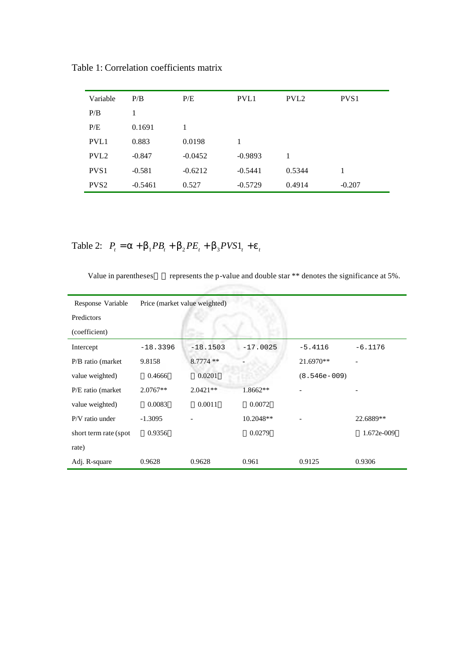| Variable         | P/B       | P/E       | PVL1      | PVL <sub>2</sub> | PVS <sub>1</sub> |
|------------------|-----------|-----------|-----------|------------------|------------------|
| P/B              | 1         |           |           |                  |                  |
| P/E              | 0.1691    | 1         |           |                  |                  |
| PVL1             | 0.883     | 0.0198    | 1         |                  |                  |
| PVL <sub>2</sub> | $-0.847$  | $-0.0452$ | $-0.9893$ | 1                |                  |
| PVS <sub>1</sub> | $-0.581$  | $-0.6212$ | $-0.5441$ | 0.5344           | 1                |
| PVS <sub>2</sub> | $-0.5461$ | 0.527     | $-0.5729$ | 0.4914           | $-0.207$         |

Table 1: Correlation coefficients matrix

Table 2:  $P_t = a + b_1 P B_t + b_2 P E_t + b_3 P V S 1_t + e_t$ 

Value in parentheses represents the p-value and double star \*\* denotes the significance at 5%.

| Response Variable     | Price (market value weighted) |             |            |                |            |  |  |
|-----------------------|-------------------------------|-------------|------------|----------------|------------|--|--|
| Predictors            |                               |             |            |                |            |  |  |
| (coefficient)         |                               |             |            |                |            |  |  |
| Intercept             | $-18.3396$                    | $-18.1503$  | $-17.0025$ | $-5.4116$      | $-6.1176$  |  |  |
| P/B ratio (market)    | 9.8158                        | $8.7774$ ** |            | 21.6970**      |            |  |  |
| value weighted)       | 0.4666                        | 0.0201      |            | $(8.546e-009)$ |            |  |  |
| P/E ratio (market)    | $2.0767**$                    | $2.0421**$  | 1.8662**   |                |            |  |  |
| value weighted)       | 0.0083                        | 0.0011      | 0.0072     |                |            |  |  |
| P/V ratio under       | $-1.3095$                     |             | 10.2048**  |                | 22.6889**  |  |  |
| short term rate (spot | 0.9356                        |             | 0.0279     |                | 1.672e-009 |  |  |
| rate)                 |                               |             |            |                |            |  |  |
| Adj. R-square         | 0.9628                        | 0.9628      | 0.961      | 0.9125         | 0.9306     |  |  |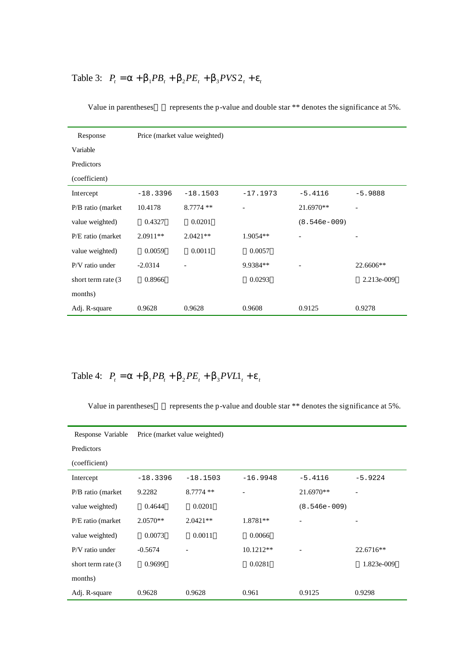## Table 3:  $P_t = a + b_1 P B_t + b_2 P E_t + b_3 P V S 2_t + e_t$

| Response            | Price (market value weighted) |             |            |                |            |  |  |
|---------------------|-------------------------------|-------------|------------|----------------|------------|--|--|
| Variable            |                               |             |            |                |            |  |  |
| Predictors          |                               |             |            |                |            |  |  |
| (coefficient)       |                               |             |            |                |            |  |  |
| Intercept           | $-18.3396$                    | $-18.1503$  | $-17.1973$ | $-5.4116$      | $-5.9888$  |  |  |
| P/B ratio (market   | 10.4178                       | $8.7774$ ** |            | 21.6970**      |            |  |  |
| value weighted)     | 0.4327                        | 0.0201      |            | $(8.546e-009)$ |            |  |  |
| P/E ratio (market)  | $2.0911**$                    | $2.0421**$  | $1.9054**$ |                |            |  |  |
| value weighted)     | 0.0059                        | 0.0011      | 0.0057     |                |            |  |  |
| P/V ratio under     | $-2.0314$                     |             | 9.9384**   |                | 22.6606**  |  |  |
| short term rate (3) | 0.8966                        |             | 0.0293     |                | 2.213e-009 |  |  |
| months)             |                               |             |            |                |            |  |  |
| Adj. R-square       | 0.9628                        | 0.9628      | 0.9608     | 0.9125         | 0.9278     |  |  |

Value in parentheses represents the p-value and double star \*\* denotes the significance at 5%.

Table 4:  $P_t = a + b_1 P B_t + b_2 P E_t + b_3 P V L 1_t + e_t$ 

Value in parentheses represents the p-value and double star \*\* denotes the significance at 5%.

| Response Variable   | Price (market value weighted) |            |             |                |            |  |  |  |
|---------------------|-------------------------------|------------|-------------|----------------|------------|--|--|--|
| Predictors          |                               |            |             |                |            |  |  |  |
| (coefficient)       |                               |            |             |                |            |  |  |  |
| Intercept           | $-18.3396$                    | $-18.1503$ | $-16.9948$  | $-5.4116$      | $-5.9224$  |  |  |  |
| P/B ratio (market)  | 9.2282                        | $8.7774**$ |             | 21.6970**      |            |  |  |  |
| value weighted)     | 0.4644                        | 0.0201     |             | $(8.546e-009)$ |            |  |  |  |
| P/E ratio (market)  | $2.0570**$                    | $2.0421**$ | 1.8781**    |                |            |  |  |  |
| value weighted)     | 0.0073                        | 0.0011     | 0.0066      |                |            |  |  |  |
| P/V ratio under     | $-0.5674$                     |            | $10.1212**$ |                | 22.6716**  |  |  |  |
| short term rate (3) | 0.9699                        |            | 0.0281      |                | 1.823e-009 |  |  |  |
| months)             |                               |            |             |                |            |  |  |  |
| Adj. R-square       | 0.9628                        | 0.9628     | 0.961       | 0.9125         | 0.9298     |  |  |  |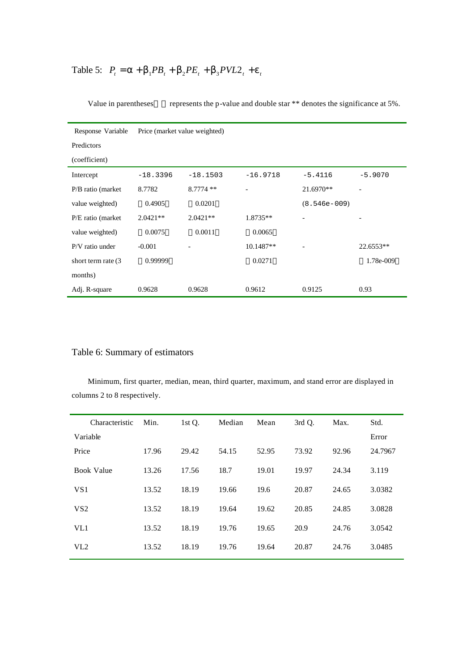## Table 5:  $P_t = a + b_1 P B_t + b_2 P E_t + b_3 P V L 2_t + e_t$

| Response Variable     | Price (market value weighted) |            |             |                |             |  |  |
|-----------------------|-------------------------------|------------|-------------|----------------|-------------|--|--|
| Predictors            |                               |            |             |                |             |  |  |
| (coefficient)         |                               |            |             |                |             |  |  |
| Intercept             | $-18.3396$                    | $-18.1503$ | $-16.9718$  | $-5.4116$      | $-5.9070$   |  |  |
| P/B ratio (market)    | 8.7782                        | $8.7774**$ |             | 21.6970**      |             |  |  |
| value weighted)       | 0.4905                        | 0.0201     |             | $(8.546e-009)$ |             |  |  |
| P/E ratio (market)    | $2.0421**$                    | $2.0421**$ | $1.8735**$  |                |             |  |  |
| value weighted)       | 0.0075                        | 0.0011     | 0.0065      |                |             |  |  |
| P/V ratio under       | $-0.001$                      |            | $10.1487**$ |                | $22.6553**$ |  |  |
| short term rate $(3)$ | 0.99999                       |            | 0.0271      |                | 1.78e-009   |  |  |
| months)               |                               |            |             |                |             |  |  |
| Adj. R-square         | 0.9628                        | 0.9628     | 0.9612      | 0.9125         | 0.93        |  |  |

Value in parentheses represents the p-value and double star \*\* denotes the significance at 5%.

## Table 6: Summary of estimators

Minimum, first quarter, median, mean, third quarter, maximum, and stand error are displayed in columns 2 to 8 respectively.

| Characteristic    | Min.  | 1st Q. | Median | Mean  | 3rd Q. | Max.  | Std.    |
|-------------------|-------|--------|--------|-------|--------|-------|---------|
| Variable          |       |        |        |       |        |       | Error   |
| Price             | 17.96 | 29.42  | 54.15  | 52.95 | 73.92  | 92.96 | 24.7967 |
| <b>Book Value</b> | 13.26 | 17.56  | 18.7   | 19.01 | 19.97  | 24.34 | 3.119   |
| VS <sub>1</sub>   | 13.52 | 18.19  | 19.66  | 19.6  | 20.87  | 24.65 | 3.0382  |
| VS <sub>2</sub>   | 13.52 | 18.19  | 19.64  | 19.62 | 20.85  | 24.85 | 3.0828  |
| VL1               | 13.52 | 18.19  | 19.76  | 19.65 | 20.9   | 24.76 | 3.0542  |
| VL2               | 13.52 | 18.19  | 19.76  | 19.64 | 20.87  | 24.76 | 3.0485  |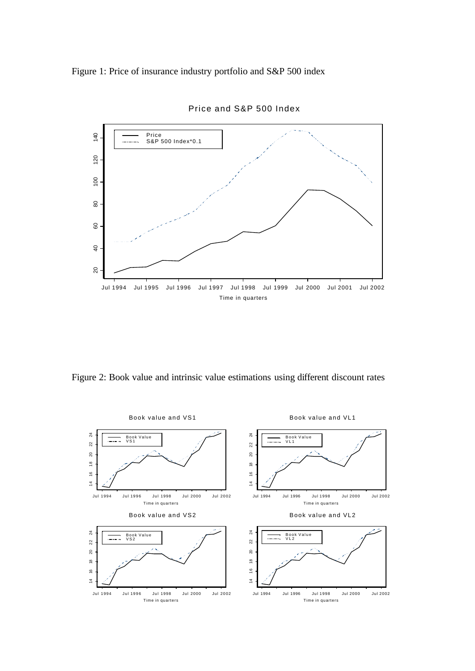Figure 1: Price of insurance industry portfolio and S&P 500 index



Price and S&P 500 Index

Figure 2: Book value and intrinsic value estimations using different discount rates